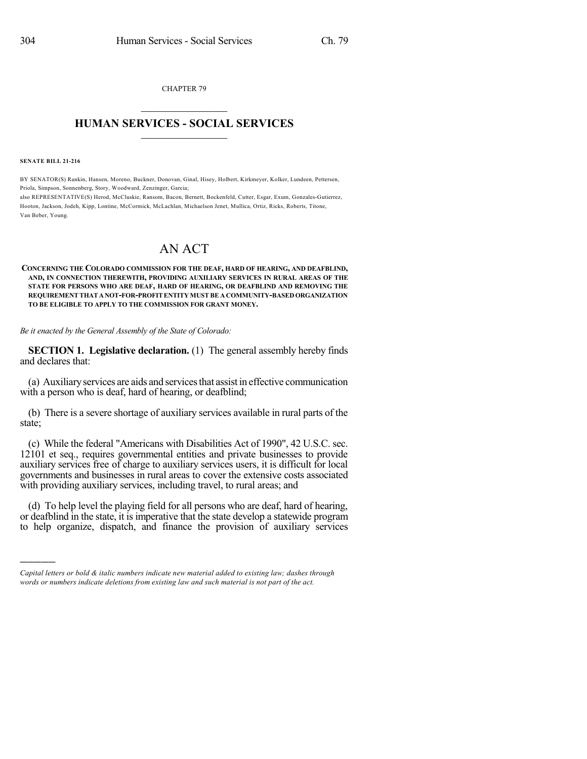CHAPTER 79  $\overline{\phantom{a}}$  . The set of the set of the set of the set of the set of the set of the set of the set of the set of the set of the set of the set of the set of the set of the set of the set of the set of the set of the set o

## **HUMAN SERVICES - SOCIAL SERVICES**  $\frac{1}{2}$  ,  $\frac{1}{2}$  ,  $\frac{1}{2}$  ,  $\frac{1}{2}$  ,  $\frac{1}{2}$  ,  $\frac{1}{2}$  ,  $\frac{1}{2}$

**SENATE BILL 21-216**

)))))

BY SENATOR(S) Rankin, Hansen, Moreno, Buckner, Donovan, Ginal, Hisey, Holbert, Kirkmeyer, Kolker, Lundeen, Pettersen, Priola, Simpson, Sonnenberg, Story, Woodward, Zenzinger, Garcia;

also REPRESENTATIVE(S) Herod, McCluskie, Ransom, Bacon, Bernett, Bockenfeld, Cutter, Esgar, Exum, Gonzales-Gutierrez, Hooton, Jackson, Jodeh, Kipp, Lontine, McCormick, McLachlan, Michaelson Jenet, Mullica, Ortiz, Ricks, Roberts, Titone, Van Beber, Young.

## AN ACT

**CONCERNING THE COLORADO COMMISSION FOR THE DEAF, HARD OF HEARING, AND DEAFBLIND, AND, IN CONNECTION THEREWITH, PROVIDING AUXILIARY SERVICES IN RURAL AREAS OF THE STATE FOR PERSONS WHO ARE DEAF, HARD OF HEARING, OR DEAFBLIND AND REMOVING THE REQUIREMENTTHATANOT-FOR-PROFITENTITYMUSTBE A COMMUNITY-BASED ORGANIZATION TO BE ELIGIBLE TO APPLY TO THE COMMISSION FOR GRANT MONEY.**

*Be it enacted by the General Assembly of the State of Colorado:*

**SECTION 1. Legislative declaration.** (1) The general assembly hereby finds and declares that:

(a) Auxiliaryservices are aids and servicesthat assist in effective communication with a person who is deaf, hard of hearing, or deafblind;

(b) There is a severe shortage of auxiliary services available in rural parts of the state;

(c) While the federal "Americans with Disabilities Act of 1990", 42 U.S.C. sec. 12101 et seq., requires governmental entities and private businesses to provide auxiliary services free of charge to auxiliary services users, it is difficult for local governments and businesses in rural areas to cover the extensive costs associated with providing auxiliary services, including travel, to rural areas; and

(d) To help level the playing field for all persons who are deaf, hard of hearing, or deafblind in the state, it is imperative that the state develop a statewide program to help organize, dispatch, and finance the provision of auxiliary services

*Capital letters or bold & italic numbers indicate new material added to existing law; dashes through words or numbers indicate deletions from existing law and such material is not part of the act.*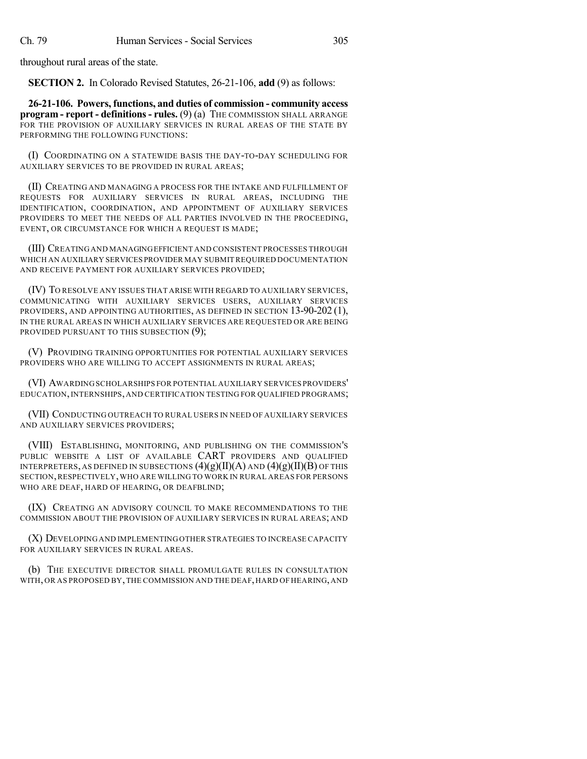throughout rural areas of the state.

**SECTION 2.** In Colorado Revised Statutes, 26-21-106, **add** (9) as follows:

**26-21-106. Powers, functions, and duties of commission - community access program - report - definitions- rules.** (9) (a) THE COMMISSION SHALL ARRANGE FOR THE PROVISION OF AUXILIARY SERVICES IN RURAL AREAS OF THE STATE BY PERFORMING THE FOLLOWING FUNCTIONS:

(I) COORDINATING ON A STATEWIDE BASIS THE DAY-TO-DAY SCHEDULING FOR AUXILIARY SERVICES TO BE PROVIDED IN RURAL AREAS;

(II) CREATING AND MANAGING A PROCESS FOR THE INTAKE AND FULFILLMENT OF REQUESTS FOR AUXILIARY SERVICES IN RURAL AREAS, INCLUDING THE IDENTIFICATION, COORDINATION, AND APPOINTMENT OF AUXILIARY SERVICES PROVIDERS TO MEET THE NEEDS OF ALL PARTIES INVOLVED IN THE PROCEEDING, EVENT, OR CIRCUMSTANCE FOR WHICH A REQUEST IS MADE;

(III) CREATING AND MANAGINGEFFICIENT AND CONSISTENT PROCESSES THROUGH WHICH AN AUXILIARY SERVICES PROVIDER MAY SUBMITREQUIRED DOCUMENTATION AND RECEIVE PAYMENT FOR AUXILIARY SERVICES PROVIDED;

(IV) TO RESOLVE ANY ISSUES THAT ARISE WITH REGARD TO AUXILIARY SERVICES, COMMUNICATING WITH AUXILIARY SERVICES USERS, AUXILIARY SERVICES PROVIDERS, AND APPOINTING AUTHORITIES, AS DEFINED IN SECTION 13-90-202 (1), IN THE RURAL AREAS IN WHICH AUXILIARY SERVICES ARE REQUESTED OR ARE BEING PROVIDED PURSUANT TO THIS SUBSECTION (9);

(V) PROVIDING TRAINING OPPORTUNITIES FOR POTENTIAL AUXILIARY SERVICES PROVIDERS WHO ARE WILLING TO ACCEPT ASSIGNMENTS IN RURAL AREAS;

(VI) AWARDING SCHOLARSHIPS FOR POTENTIAL AUXILIARY SERVICES PROVIDERS' EDUCATION,INTERNSHIPS, AND CERTIFICATION TESTING FOR QUALIFIED PROGRAMS;

(VII) CONDUCTING OUTREACH TO RURAL USERS IN NEED OF AUXILIARY SERVICES AND AUXILIARY SERVICES PROVIDERS;

(VIII) ESTABLISHING, MONITORING, AND PUBLISHING ON THE COMMISSION'S PUBLIC WEBSITE A LIST OF AVAILABLE CART PROVIDERS AND QUALIFIED INTERPRETERS, AS DEFINED IN SUBSECTIONS  $(4)(g)(II)(A)$  and  $(4)(g)(II)(B)$  of this SECTION,RESPECTIVELY,WHO ARE WILLING TO WORK IN RURAL AREAS FOR PERSONS WHO ARE DEAF, HARD OF HEARING, OR DEAFBLIND;

(IX) CREATING AN ADVISORY COUNCIL TO MAKE RECOMMENDATIONS TO THE COMMISSION ABOUT THE PROVISION OF AUXILIARY SERVICES IN RURAL AREAS; AND

(X) DEVELOPING AND IMPLEMENTING OTHER STRATEGIES TO INCREASE CAPACITY FOR AUXILIARY SERVICES IN RURAL AREAS.

(b) THE EXECUTIVE DIRECTOR SHALL PROMULGATE RULES IN CONSULTATION WITH, OR AS PROPOSED BY, THE COMMISSION AND THE DEAF, HARD OF HEARING, AND